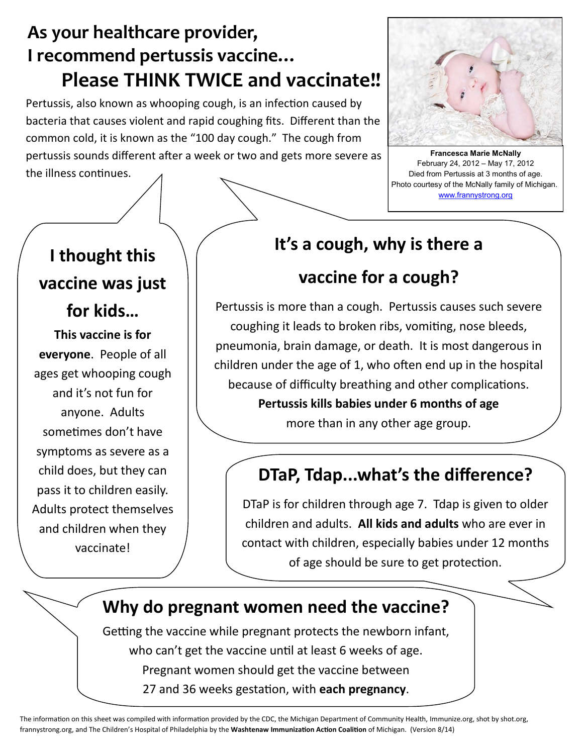## **As your healthcare provider, I recommend pertussis vaccine… Please THINK TWICE and vaccinate!!**

Pertussis, also known as whooping cough, is an infection caused by bacteria that causes violent and rapid coughing fits. Different than the common cold, it is known as the "100 day cough." The cough from pertussis sounds different after a week or two and gets more severe as the illness continues.



**Francesca Marie McNally** February 24, 2012 – May 17, 2012 Died from Pertussis at 3 months of age. Photo courtesy of the McNally family of Michigan. [www.frannystrong.org](http://www.frannystrong.org)

# **I thought this vaccine was just for kids…**

**This vaccine is for everyone**. People of all ages get whooping cough and it's not fun for anyone. Adults sometimes don't have symptoms as severe as a child does, but they can pass it to children easily. Adults protect themselves and children when they vaccinate!

#### **It's a cough, why is there a**

### **vaccine for a cough?**

Pertussis is more than a cough. Pertussis causes such severe coughing it leads to broken ribs, vomiting, nose bleeds, pneumonia, brain damage, or death. It is most dangerous in children under the age of 1, who often end up in the hospital because of difficulty breathing and other complications.

> **Pertussis kills babies under 6 months of age**  more than in any other age group.

## **DTaP, Tdap...what's the difference?**

DTaP is for children through age 7. Tdap is given to older children and adults. **All kids and adults** who are ever in contact with children, especially babies under 12 months of age should be sure to get protection.

#### **Why do pregnant women need the vaccine?**

Getting the vaccine while pregnant protects the newborn infant, who can't get the vaccine until at least 6 weeks of age. Pregnant women should get the vaccine between 27 and 36 weeks gestation, with **each pregnancy**.

The information on this sheet was compiled with information provided by the CDC, the Michigan Department of Community Health, Immunize.org, shot by shot.org, frannystrong.org, and The Children's Hospital of Philadelphia by the **Washtenaw Immunization Action Coalition** of Michigan. (Version 8/14)